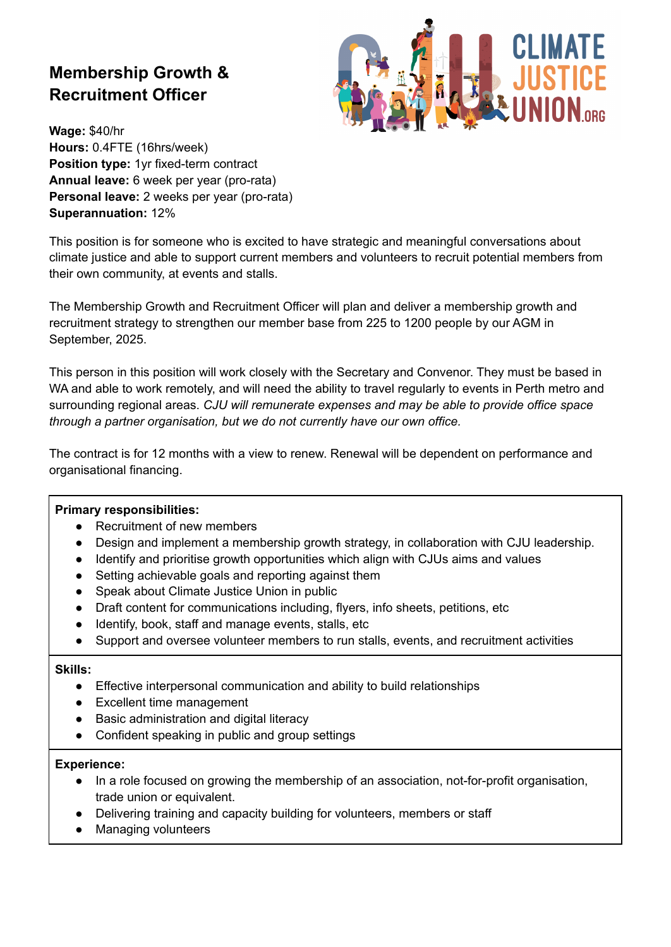# **Membership Growth & Recruitment Officer**



**Wage:** \$40/hr **Hours:** 0.4FTE (16hrs/week) **Position type:** 1yr fixed-term contract **Annual leave:** 6 week per year (pro-rata) **Personal leave:** 2 weeks per year (pro-rata) **Superannuation:** 12%

This position is for someone who is excited to have strategic and meaningful conversations about climate justice and able to support current members and volunteers to recruit potential members from their own community, at events and stalls.

The Membership Growth and Recruitment Officer will plan and deliver a membership growth and recruitment strategy to strengthen our member base from 225 to 1200 people by our AGM in September, 2025.

This person in this position will work closely with the Secretary and Convenor. They must be based in WA and able to work remotely, and will need the ability to travel regularly to events in Perth metro and surrounding regional areas. *CJU will remunerate expenses and may be able to provide office space through a partner organisation, but we do not currently have our own office.*

The contract is for 12 months with a view to renew. Renewal will be dependent on performance and organisational financing.

#### **Primary responsibilities:**

- Recruitment of new members
- Design and implement a membership growth strategy, in collaboration with CJU leadership.
- Identify and prioritise growth opportunities which align with CJUs aims and values
- Setting achievable goals and reporting against them
- Speak about Climate Justice Union in public
- Draft content for communications including, flyers, info sheets, petitions, etc
- Identify, book, staff and manage events, stalls, etc
- Support and oversee volunteer members to run stalls, events, and recruitment activities

#### **Skills:**

- Effective interpersonal communication and ability to build relationships
- Excellent time management
- Basic administration and digital literacy
- Confident speaking in public and group settings

#### **Experience:**

- In a role focused on growing the membership of an association, not-for-profit organisation, trade union or equivalent.
- Delivering training and capacity building for volunteers, members or staff
- **Managing volunteers**